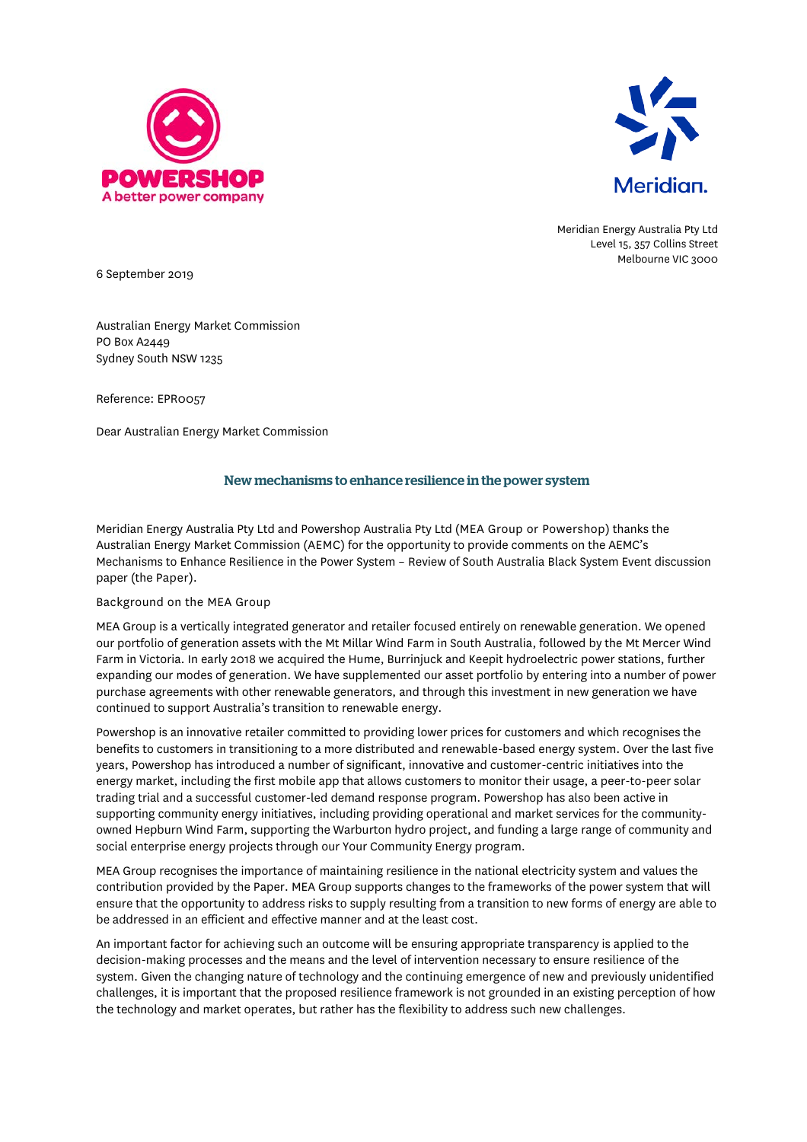



Meridian Energy Australia Pty Ltd Level 15, 357 Collins Street Melbourne VIC 3000

6 September 2019

Australian Energy Market Commission PO Box A2449 Sydney South NSW 1235

Reference: EPR0057

Dear Australian Energy Market Commission

## New mechanisms to enhance resilience in the power system

Meridian Energy Australia Pty Ltd and Powershop Australia Pty Ltd (MEA Group or Powershop) thanks the Australian Energy Market Commission (AEMC) for the opportunity to provide comments on the AEMC's Mechanisms to Enhance Resilience in the Power System – Review of South Australia Black System Event discussion paper (the Paper).

## Background on the MEA Group

MEA Group is a vertically integrated generator and retailer focused entirely on renewable generation. We opened our portfolio of generation assets with the Mt Millar Wind Farm in South Australia, followed by the Mt Mercer Wind Farm in Victoria. In early 2018 we acquired the Hume, Burrinjuck and Keepit hydroelectric power stations, further expanding our modes of generation. We have supplemented our asset portfolio by entering into a number of power purchase agreements with other renewable generators, and through this investment in new generation we have continued to support Australia's transition to renewable energy.

Powershop is an innovative retailer committed to providing lower prices for customers and which recognises the benefits to customers in transitioning to a more distributed and renewable-based energy system. Over the last five years, Powershop has introduced a number of significant, innovative and customer-centric initiatives into the energy market, including the first mobile app that allows customers to monitor their usage, a peer-to-peer solar trading trial and a successful customer-led demand response program. Powershop has also been active in supporting community energy initiatives, including providing operational and market services for the communityowned Hepburn Wind Farm, supporting the Warburton hydro project, and funding a large range of community and social enterprise energy projects through our Your Community Energy program.

MEA Group recognises the importance of maintaining resilience in the national electricity system and values the contribution provided by the Paper. MEA Group supports changes to the frameworks of the power system that will ensure that the opportunity to address risks to supply resulting from a transition to new forms of energy are able to be addressed in an efficient and effective manner and at the least cost.

An important factor for achieving such an outcome will be ensuring appropriate transparency is applied to the decision-making processes and the means and the level of intervention necessary to ensure resilience of the system. Given the changing nature of technology and the continuing emergence of new and previously unidentified challenges, it is important that the proposed resilience framework is not grounded in an existing perception of how the technology and market operates, but rather has the flexibility to address such new challenges.